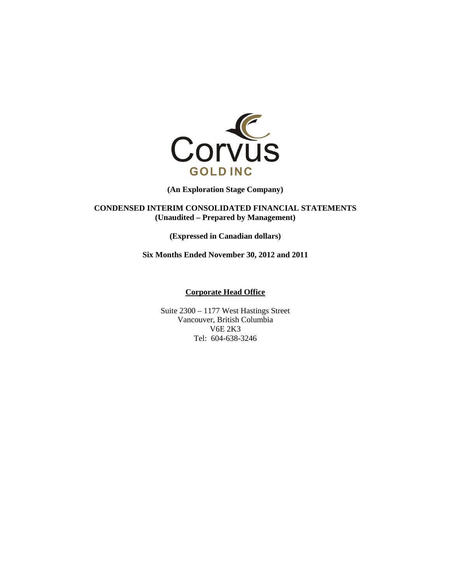

**(An Exploration Stage Company)** 

**CONDENSED INTERIM CONSOLIDATED FINANCIAL STATEMENTS (Unaudited – Prepared by Management)** 

**(Expressed in Canadian dollars)** 

**Six Months Ended November 30, 2012 and 2011** 

#### **Corporate Head Office**

Suite 2300 – 1177 West Hastings Street Vancouver, British Columbia V6E 2K3 Tel: 604-638-3246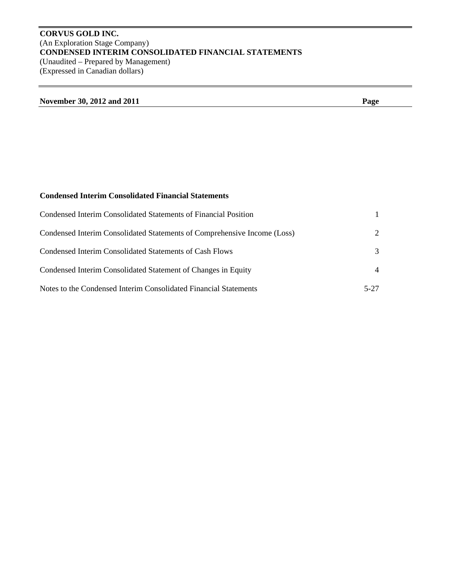# **CORVUS GOLD INC.**  (An Exploration Stage Company) **CONDENSED INTERIM CONSOLIDATED FINANCIAL STATEMENTS**  (Unaudited – Prepared by Management) (Expressed in Canadian dollars)

| November 30, 2012 and 2011 | Page |
|----------------------------|------|
|                            |      |

# **Condensed Interim Consolidated Financial Statements**

| Condensed Interim Consolidated Statements of Financial Position          |        |
|--------------------------------------------------------------------------|--------|
| Condensed Interim Consolidated Statements of Comprehensive Income (Loss) | 2      |
| Condensed Interim Consolidated Statements of Cash Flows                  | 3      |
| Condensed Interim Consolidated Statement of Changes in Equity            |        |
| Notes to the Condensed Interim Consolidated Financial Statements         | $5-27$ |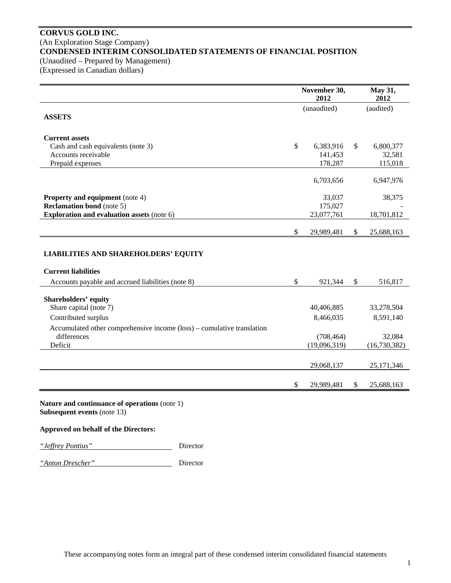# **CORVUS GOLD INC.**  (An Exploration Stage Company) **CONDENSED INTERIM CONSOLIDATED STATEMENTS OF FINANCIAL POSITION**  (Unaudited – Prepared by Management)

(Expressed in Canadian dollars)

|                                                                        | November 30, | May 31,<br>2012 |              |              |
|------------------------------------------------------------------------|--------------|-----------------|--------------|--------------|
|                                                                        |              | (unaudited)     |              | (audited)    |
| <b>ASSETS</b>                                                          |              |                 |              |              |
|                                                                        |              |                 |              |              |
| <b>Current assets</b><br>Cash and cash equivalents (note 3)            | \$           | 6,383,916       | \$           | 6,800,377    |
| Accounts receivable                                                    |              | 141,453         |              | 32,581       |
| Prepaid expenses                                                       |              | 178,287         |              | 115,018      |
|                                                                        |              |                 |              |              |
|                                                                        |              | 6,703,656       |              | 6,947,976    |
|                                                                        |              |                 |              |              |
| <b>Property and equipment</b> (note 4)                                 |              | 33,037          |              | 38,375       |
| <b>Reclamation bond</b> (note 5)                                       |              | 175,027         |              |              |
| <b>Exploration and evaluation assets (note 6)</b>                      |              | 23,077,761      |              | 18,701,812   |
|                                                                        |              |                 |              |              |
|                                                                        | \$           | 29,989,481      | \$           | 25,688,163   |
|                                                                        |              |                 |              |              |
| <b>LIABILITIES AND SHAREHOLDERS' EQUITY</b>                            |              |                 |              |              |
|                                                                        |              |                 |              |              |
| <b>Current liabilities</b>                                             |              |                 |              |              |
| Accounts payable and accrued liabilities (note 8)                      | $\mathbb{S}$ | 921,344         | $\mathbb{S}$ | 516,817      |
|                                                                        |              |                 |              |              |
| <b>Shareholders' equity</b>                                            |              |                 |              |              |
| Share capital (note 7)                                                 |              | 40,406,885      |              | 33,278,504   |
| Contributed surplus                                                    |              | 8,466,035       |              | 8,591,140    |
| Accumulated other comprehensive income (loss) – cumulative translation |              |                 |              |              |
| differences                                                            |              | (708, 464)      |              | 32,084       |
| Deficit                                                                |              | (19,096,319)    |              | (16,730,382) |
|                                                                        |              |                 |              |              |
|                                                                        |              | 29,068,137      |              | 25,171,346   |
|                                                                        |              |                 |              |              |
|                                                                        | \$           | 29,989,481      | \$           | 25,688,163   |
|                                                                        |              |                 |              |              |

**Nature and continuance of operations** (note 1) **Subsequent events** (note 13)

## **Approved on behalf of the Directors:**



*"Anton Drescher"* Director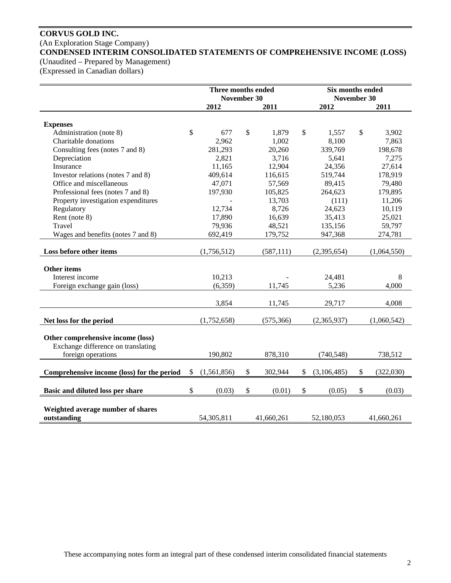# **CORVUS GOLD INC.**  (An Exploration Stage Company) **CONDENSED INTERIM CONSOLIDATED STATEMENTS OF COMPREHENSIVE INCOME (LOSS)**

(Unaudited – Prepared by Management)

(Expressed in Canadian dollars)

|                                            | Three months ended<br>November 30 |              |              |            |              | Six months ended<br>November 30 |                 |
|--------------------------------------------|-----------------------------------|--------------|--------------|------------|--------------|---------------------------------|-----------------|
|                                            |                                   | 2012         |              | 2011       |              | 2012                            | 2011            |
|                                            |                                   |              |              |            |              |                                 |                 |
| <b>Expenses</b>                            |                                   |              |              |            |              |                                 |                 |
| Administration (note 8)                    | \$                                | 677          | \$           | 1,879      | \$           | 1,557                           | \$<br>3,902     |
| Charitable donations                       |                                   | 2,962        |              | 1,002      |              | 8,100                           | 7,863           |
| Consulting fees (notes 7 and 8)            |                                   | 281,293      |              | 20,260     |              | 339,769                         | 198,678         |
| Depreciation                               |                                   | 2,821        |              | 3,716      |              | 5,641                           | 7,275           |
| Insurance                                  |                                   | 11,165       |              | 12,904     |              | 24,356                          | 27,614          |
| Investor relations (notes 7 and 8)         |                                   | 409,614      |              | 116,615    |              | 519,744                         | 178,919         |
| Office and miscellaneous                   |                                   | 47,071       |              | 57,569     |              | 89,415                          | 79,480          |
| Professional fees (notes 7 and 8)          |                                   | 197,930      |              | 105,825    |              | 264,623                         | 179,895         |
| Property investigation expenditures        |                                   |              |              | 13,703     |              | (111)                           | 11,206          |
| Regulatory                                 |                                   | 12,734       |              | 8,726      |              | 24,623                          | 10,119          |
| Rent (note 8)                              |                                   | 17,890       |              | 16,639     |              | 35,413                          | 25,021          |
| Travel                                     |                                   | 79,936       |              | 48,521     |              | 135,156                         | 59,797          |
| Wages and benefits (notes 7 and 8)         |                                   | 692,419      |              | 179,752    |              | 947,368                         | 274,781         |
| Loss before other items                    |                                   | (1,756,512)  |              | (587, 111) |              | (2,395,654)                     | (1,064,550)     |
|                                            |                                   |              |              |            |              |                                 |                 |
| <b>Other items</b>                         |                                   |              |              |            |              |                                 |                 |
| Interest income                            |                                   | 10,213       |              |            |              | 24,481                          | 8               |
| Foreign exchange gain (loss)               |                                   | (6,359)      |              | 11,745     |              | 5,236                           | 4,000           |
|                                            |                                   | 3,854        |              | 11,745     |              | 29,717                          | 4,008           |
| Net loss for the period                    |                                   | (1,752,658)  |              | (575, 366) |              | (2,365,937)                     | (1,060,542)     |
|                                            |                                   |              |              |            |              |                                 |                 |
| Other comprehensive income (loss)          |                                   |              |              |            |              |                                 |                 |
| Exchange difference on translating         |                                   |              |              |            |              |                                 |                 |
| foreign operations                         |                                   | 190,802      |              | 878,310    |              | (740, 548)                      | 738,512         |
|                                            |                                   |              |              |            |              |                                 |                 |
| Comprehensive income (loss) for the period | \$                                | (1,561,856)  | $\mathbb{S}$ | 302,944    | $\mathbb{S}$ | (3,106,485)                     | \$<br>(322,030) |
| Basic and diluted loss per share           | \$                                | (0.03)       | \$           | (0.01)     | \$           | (0.05)                          | \$<br>(0.03)    |
|                                            |                                   |              |              |            |              |                                 |                 |
| Weighted average number of shares          |                                   |              |              |            |              |                                 |                 |
| outstanding                                |                                   | 54, 305, 811 |              | 41,660,261 |              | 52,180,053                      | 41,660,261      |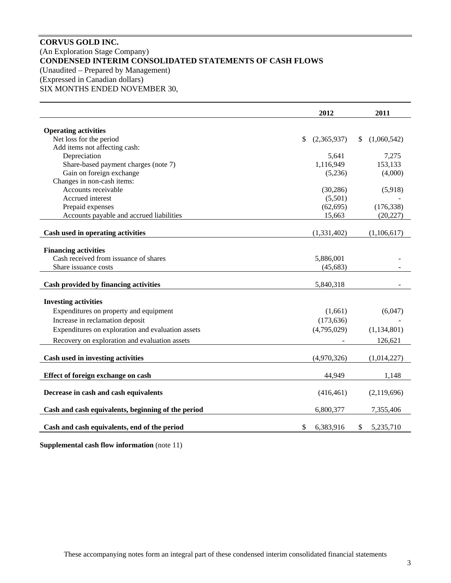# **CORVUS GOLD INC.**  (An Exploration Stage Company) **CONDENSED INTERIM CONSOLIDATED STATEMENTS OF CASH FLOWS**  (Unaudited – Prepared by Management) (Expressed in Canadian dollars) SIX MONTHS ENDED NOVEMBER 30,

|                                                    | 2012                        | 2011              |
|----------------------------------------------------|-----------------------------|-------------------|
| <b>Operating activities</b>                        |                             |                   |
| Net loss for the period                            | (2,365,937)<br>$\mathbb{S}$ | (1,060,542)<br>\$ |
| Add items not affecting cash:                      |                             |                   |
| Depreciation                                       | 5,641                       | 7,275             |
| Share-based payment charges (note 7)               | 1,116,949                   | 153,133           |
| Gain on foreign exchange                           | (5,236)                     | (4,000)           |
| Changes in non-cash items:                         |                             |                   |
| Accounts receivable                                | (30, 286)                   | (5,918)           |
| Accrued interest                                   | (5,501)                     |                   |
| Prepaid expenses                                   | (62, 695)                   | (176, 338)        |
| Accounts payable and accrued liabilities           | 15,663                      | (20, 227)         |
|                                                    |                             |                   |
| Cash used in operating activities                  | (1,331,402)                 | (1,106,617)       |
|                                                    |                             |                   |
| <b>Financing activities</b>                        |                             |                   |
| Cash received from issuance of shares              | 5,886,001                   |                   |
| Share issuance costs                               | (45, 683)                   |                   |
| Cash provided by financing activities              | 5,840,318                   |                   |
|                                                    |                             |                   |
| <b>Investing activities</b>                        |                             |                   |
| Expenditures on property and equipment             | (1,661)                     | (6,047)           |
| Increase in reclamation deposit                    | (173, 636)                  |                   |
| Expenditures on exploration and evaluation assets  | (4,795,029)                 | (1, 134, 801)     |
| Recovery on exploration and evaluation assets      |                             | 126,621           |
| Cash used in investing activities                  | (4,970,326)                 | (1,014,227)       |
|                                                    |                             |                   |
| Effect of foreign exchange on cash                 | 44,949                      | 1,148             |
| Decrease in cash and cash equivalents              | (416, 461)                  | (2,119,696)       |
| Cash and cash equivalents, beginning of the period | 6,800,377                   | 7,355,406         |
| Cash and cash equivalents, end of the period       | \$<br>6,383,916             | \$<br>5,235,710   |

**Supplemental cash flow information** (note 11)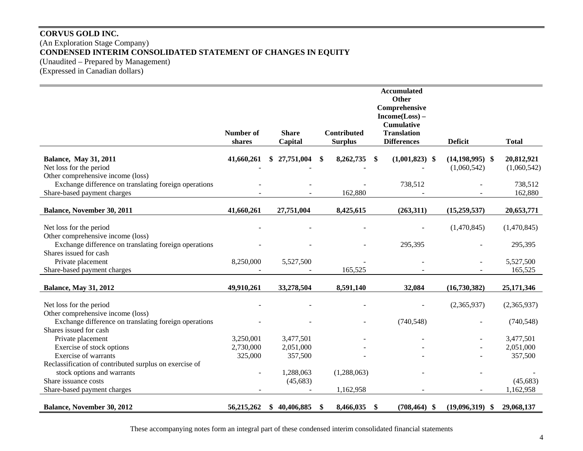# **CORVUS GOLD INC.**  (An Exploration Stage Company) **CONDENSED INTERIM CONSOLIDATED STATEMENT OF CHANGES IN EQUITY**  (Unaudited – Prepared by Management) (Expressed in Canadian dollars)

|                                                        |                  |                 |                | <b>Accumulated</b><br><b>Other</b>    |                |                     |              |
|--------------------------------------------------------|------------------|-----------------|----------------|---------------------------------------|----------------|---------------------|--------------|
|                                                        |                  |                 |                | Comprehensive                         |                |                     |              |
|                                                        |                  |                 |                | $Income(Loss) -$<br><b>Cumulative</b> |                |                     |              |
|                                                        | <b>Number of</b> | <b>Share</b>    | Contributed    | <b>Translation</b>                    |                |                     |              |
|                                                        | shares           | Capital         | <b>Surplus</b> | <b>Differences</b>                    | <b>Deficit</b> |                     | <b>Total</b> |
| <b>Balance, May 31, 2011</b>                           | 41,660,261       | 27,751,004      | 8,262,735      | $(1,001,823)$ \$<br>\$                |                | $(14, 198, 995)$ \$ | 20,812,921   |
| Net loss for the period                                |                  |                 |                |                                       |                | (1,060,542)         | (1,060,542)  |
| Other comprehensive income (loss)                      |                  |                 |                |                                       |                |                     |              |
| Exchange difference on translating foreign operations  |                  |                 |                | 738,512                               |                |                     | 738,512      |
| Share-based payment charges                            |                  |                 | 162,880        |                                       |                |                     | 162,880      |
| Balance, November 30, 2011                             | 41,660,261       | 27,751,004      | 8,425,615      | (263,311)                             |                | (15,259,537)        | 20,653,771   |
|                                                        |                  |                 |                |                                       |                |                     |              |
| Net loss for the period                                |                  |                 |                |                                       |                | (1,470,845)         | (1,470,845)  |
| Other comprehensive income (loss)                      |                  |                 |                |                                       |                |                     |              |
| Exchange difference on translating foreign operations  |                  |                 |                | 295,395                               |                |                     | 295,395      |
| Shares issued for cash                                 |                  |                 |                |                                       |                |                     |              |
| Private placement                                      | 8,250,000        | 5,527,500       |                |                                       |                |                     | 5,527,500    |
| Share-based payment charges                            |                  |                 | 165,525        |                                       |                |                     | 165,525      |
|                                                        |                  |                 |                |                                       |                |                     |              |
| <b>Balance, May 31, 2012</b>                           | 49,910,261       | 33,278,504      | 8,591,140      | 32,084                                |                | (16,730,382)        | 25,171,346   |
| Net loss for the period                                |                  |                 |                |                                       |                | (2,365,937)         | (2,365,937)  |
| Other comprehensive income (loss)                      |                  |                 |                |                                       |                |                     |              |
| Exchange difference on translating foreign operations  |                  |                 |                | (740, 548)                            |                |                     | (740, 548)   |
| Shares issued for cash                                 |                  |                 |                |                                       |                |                     |              |
| Private placement                                      | 3,250,001        | 3,477,501       |                |                                       |                |                     | 3,477,501    |
| Exercise of stock options                              | 2,730,000        | 2,051,000       |                |                                       |                |                     | 2,051,000    |
| <b>Exercise of warrants</b>                            | 325,000          | 357,500         |                |                                       |                |                     | 357,500      |
| Reclassification of contributed surplus on exercise of |                  |                 |                |                                       |                |                     |              |
| stock options and warrants                             |                  | 1,288,063       | (1,288,063)    |                                       |                |                     |              |
| Share issuance costs                                   |                  | (45, 683)       |                |                                       |                |                     | (45, 683)    |
| Share-based payment charges                            |                  |                 | 1,162,958      |                                       |                |                     | 1,162,958    |
| Balance, November 30, 2012                             | 56,215,262       | 40,406,885<br>S | 8,466,035<br>S | \$<br>$(708, 464)$ \$                 |                | (19,096,319)<br>-S  | 29,068,137   |

These accompanying notes form an integral part of these condensed interim consolidated financial statements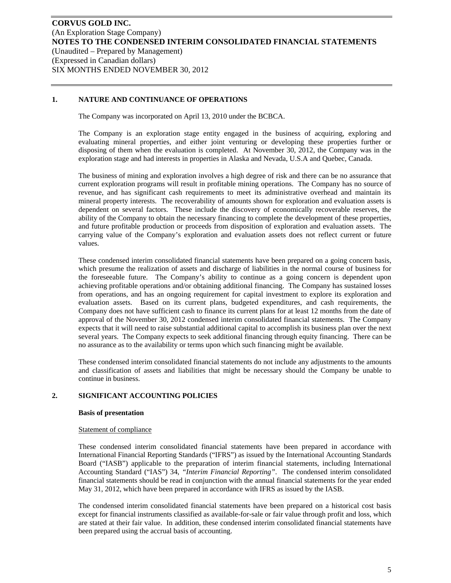## **1. NATURE AND CONTINUANCE OF OPERATIONS**

The Company was incorporated on April 13, 2010 under the BCBCA.

The Company is an exploration stage entity engaged in the business of acquiring, exploring and evaluating mineral properties, and either joint venturing or developing these properties further or disposing of them when the evaluation is completed. At November 30, 2012, the Company was in the exploration stage and had interests in properties in Alaska and Nevada, U.S.A and Quebec, Canada.

The business of mining and exploration involves a high degree of risk and there can be no assurance that current exploration programs will result in profitable mining operations. The Company has no source of revenue, and has significant cash requirements to meet its administrative overhead and maintain its mineral property interests. The recoverability of amounts shown for exploration and evaluation assets is dependent on several factors. These include the discovery of economically recoverable reserves, the ability of the Company to obtain the necessary financing to complete the development of these properties, and future profitable production or proceeds from disposition of exploration and evaluation assets. The carrying value of the Company's exploration and evaluation assets does not reflect current or future values.

These condensed interim consolidated financial statements have been prepared on a going concern basis, which presume the realization of assets and discharge of liabilities in the normal course of business for the foreseeable future. The Company's ability to continue as a going concern is dependent upon achieving profitable operations and/or obtaining additional financing. The Company has sustained losses from operations, and has an ongoing requirement for capital investment to explore its exploration and evaluation assets. Based on its current plans, budgeted expenditures, and cash requirements, the Company does not have sufficient cash to finance its current plans for at least 12 months from the date of approval of the November 30, 2012 condensed interim consolidated financial statements. The Company expects that it will need to raise substantial additional capital to accomplish its business plan over the next several years. The Company expects to seek additional financing through equity financing. There can be no assurance as to the availability or terms upon which such financing might be available.

These condensed interim consolidated financial statements do not include any adjustments to the amounts and classification of assets and liabilities that might be necessary should the Company be unable to continue in business.

## **2. SIGNIFICANT ACCOUNTING POLICIES**

#### **Basis of presentation**

#### Statement of compliance

These condensed interim consolidated financial statements have been prepared in accordance with International Financial Reporting Standards ("IFRS") as issued by the International Accounting Standards Board ("IASB") applicable to the preparation of interim financial statements, including International Accounting Standard ("IAS") 34, *"Interim Financial Reporting"*. The condensed interim consolidated financial statements should be read in conjunction with the annual financial statements for the year ended May 31, 2012, which have been prepared in accordance with IFRS as issued by the IASB.

The condensed interim consolidated financial statements have been prepared on a historical cost basis except for financial instruments classified as available-for-sale or fair value through profit and loss, which are stated at their fair value. In addition, these condensed interim consolidated financial statements have been prepared using the accrual basis of accounting.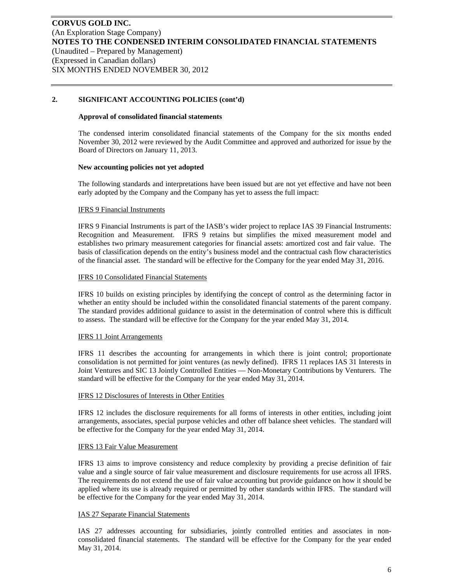## **2. SIGNIFICANT ACCOUNTING POLICIES (cont'd)**

#### **Approval of consolidated financial statements**

The condensed interim consolidated financial statements of the Company for the six months ended November 30, 2012 were reviewed by the Audit Committee and approved and authorized for issue by the Board of Directors on January 11, 2013.

#### **New accounting policies not yet adopted**

The following standards and interpretations have been issued but are not yet effective and have not been early adopted by the Company and the Company has yet to assess the full impact:

#### IFRS 9 Financial Instruments

IFRS 9 Financial Instruments is part of the IASB's wider project to replace IAS 39 Financial Instruments: Recognition and Measurement. IFRS 9 retains but simplifies the mixed measurement model and establishes two primary measurement categories for financial assets: amortized cost and fair value. The basis of classification depends on the entity's business model and the contractual cash flow characteristics of the financial asset. The standard will be effective for the Company for the year ended May 31, 2016.

#### IFRS 10 Consolidated Financial Statements

IFRS 10 builds on existing principles by identifying the concept of control as the determining factor in whether an entity should be included within the consolidated financial statements of the parent company. The standard provides additional guidance to assist in the determination of control where this is difficult to assess. The standard will be effective for the Company for the year ended May 31, 2014.

## IFRS 11 Joint Arrangements

IFRS 11 describes the accounting for arrangements in which there is joint control; proportionate consolidation is not permitted for joint ventures (as newly defined). IFRS 11 replaces IAS 31 Interests in Joint Ventures and SIC 13 Jointly Controlled Entities — Non-Monetary Contributions by Venturers. The standard will be effective for the Company for the year ended May 31, 2014.

#### IFRS 12 Disclosures of Interests in Other Entities

IFRS 12 includes the disclosure requirements for all forms of interests in other entities, including joint arrangements, associates, special purpose vehicles and other off balance sheet vehicles. The standard will be effective for the Company for the year ended May 31, 2014.

#### IFRS 13 Fair Value Measurement

IFRS 13 aims to improve consistency and reduce complexity by providing a precise definition of fair value and a single source of fair value measurement and disclosure requirements for use across all IFRS. The requirements do not extend the use of fair value accounting but provide guidance on how it should be applied where its use is already required or permitted by other standards within IFRS. The standard will be effective for the Company for the year ended May 31, 2014.

## IAS 27 Separate Financial Statements

IAS 27 addresses accounting for subsidiaries, jointly controlled entities and associates in nonconsolidated financial statements. The standard will be effective for the Company for the year ended May 31, 2014.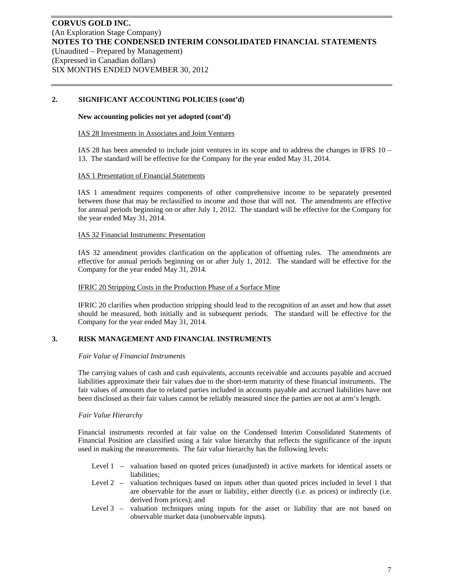## **2. SIGNIFICANT ACCOUNTING POLICIES (cont'd)**

#### **New accounting policies not yet adopted (cont'd)**

#### IAS 28 Investments in Associates and Joint Ventures

IAS 28 has been amended to include joint ventures in its scope and to address the changes in IFRS 10 – 13. The standard will be effective for the Company for the year ended May 31, 2014.

#### IAS 1 Presentation of Financial Statements

IAS 1 amendment requires components of other comprehensive income to be separately presented between those that may be reclassified to income and those that will not. The amendments are effective for annual periods beginning on or after July 1, 2012. The standard will be effective for the Company for the year ended May 31, 2014.

## IAS 32 Financial Instruments: Presentation

IAS 32 amendment provides clarification on the application of offsetting rules. The amendments are effective for annual periods beginning on or after July 1, 2012. The standard will be effective for the Company for the year ended May 31, 2014.

#### IFRIC 20 Stripping Costs in the Production Phase of a Surface Mine

IFRIC 20 clarifies when production stripping should lead to the recognition of an asset and how that asset should be measured, both initially and in subsequent periods. The standard will be effective for the Company for the year ended May 31, 2014.

## **3. RISK MANAGEMENT AND FINANCIAL INSTRUMENTS**

#### *Fair Value of Financial Instruments*

The carrying values of cash and cash equivalents, accounts receivable and accounts payable and accrued liabilities approximate their fair values due to the short-term maturity of these financial instruments. The fair values of amounts due to related parties included in accounts payable and accrued liabilities have not been disclosed as their fair values cannot be reliably measured since the parties are not at arm's length.

#### *Fair Value Hierarchy*

Financial instruments recorded at fair value on the Condensed Interim Consolidated Statements of Financial Position are classified using a fair value hierarchy that reflects the significance of the inputs used in making the measurements. The fair value hierarchy has the following levels:

- Level 1 valuation based on quoted prices (unadjusted) in active markets for identical assets or liabilities;
- Level 2 valuation techniques based on inputs other than quoted prices included in level 1 that are observable for the asset or liability, either directly (i.e. as prices) or indirectly (i.e. derived from prices); and
- Level 3 valuation techniques using inputs for the asset or liability that are not based on observable market data (unobservable inputs).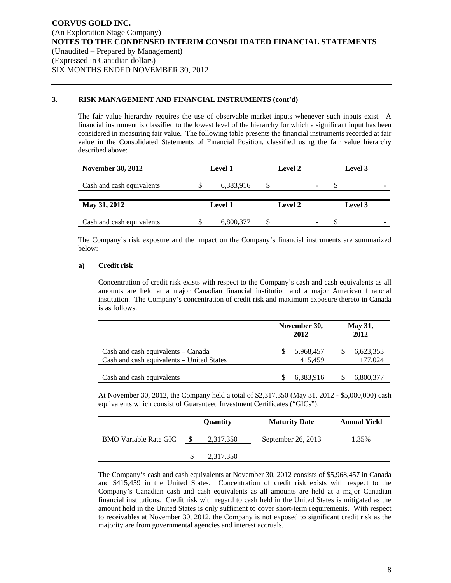## **3. RISK MANAGEMENT AND FINANCIAL INSTRUMENTS (cont'd)**

The fair value hierarchy requires the use of observable market inputs whenever such inputs exist. A financial instrument is classified to the lowest level of the hierarchy for which a significant input has been considered in measuring fair value. The following table presents the financial instruments recorded at fair value in the Consolidated Statements of Financial Position, classified using the fair value hierarchy described above:

| <b>November 30, 2012</b>  | <b>Level 1</b> | <b>Level 2</b> | <b>Level 3</b>           |
|---------------------------|----------------|----------------|--------------------------|
| Cash and cash equivalents | 6,383,916      | -              | $\overline{\phantom{a}}$ |
| May 31, 2012              | <b>Level 1</b> | <b>Level 2</b> | <b>Level 3</b>           |
| Cash and cash equivalents | 6,800,377      |                | $\overline{\phantom{a}}$ |

The Company's risk exposure and the impact on the Company's financial instruments are summarized below:

#### **a) Credit risk**

Concentration of credit risk exists with respect to the Company's cash and cash equivalents as all amounts are held at a major Canadian financial institution and a major American financial institution. The Company's concentration of credit risk and maximum exposure thereto in Canada is as follows:

|                                                                                 | November 30,<br>2012 | <b>May 31,</b><br>2012 |                      |  |
|---------------------------------------------------------------------------------|----------------------|------------------------|----------------------|--|
| Cash and cash equivalents – Canada<br>Cash and cash equivalents - United States | 5,968,457<br>415,459 |                        | 6,623,353<br>177,024 |  |
| Cash and cash equivalents                                                       | 6,383,916            |                        | 6,800,377            |  |

At November 30, 2012, the Company held a total of \$2,317,350 (May 31, 2012 - \$5,000,000) cash equivalents which consist of Guaranteed Investment Certificates ("GICs"):

|                              | Quantity  | <b>Maturity Date</b> | <b>Annual Yield</b> |
|------------------------------|-----------|----------------------|---------------------|
| <b>BMO</b> Variable Rate GIC | 2,317,350 | September 26, 2013   | 1.35%               |
|                              | 2,317,350 |                      |                     |

The Company's cash and cash equivalents at November 30, 2012 consists of \$5,968,457 in Canada and \$415,459 in the United States. Concentration of credit risk exists with respect to the Company's Canadian cash and cash equivalents as all amounts are held at a major Canadian financial institutions. Credit risk with regard to cash held in the United States is mitigated as the amount held in the United States is only sufficient to cover short-term requirements. With respect to receivables at November 30, 2012, the Company is not exposed to significant credit risk as the majority are from governmental agencies and interest accruals.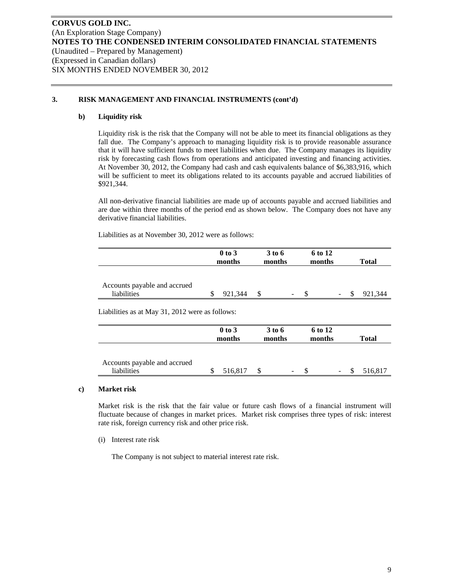## **3. RISK MANAGEMENT AND FINANCIAL INSTRUMENTS (cont'd)**

#### **b) Liquidity risk**

Liquidity risk is the risk that the Company will not be able to meet its financial obligations as they fall due. The Company's approach to managing liquidity risk is to provide reasonable assurance that it will have sufficient funds to meet liabilities when due. The Company manages its liquidity risk by forecasting cash flows from operations and anticipated investing and financing activities. At November 30, 2012, the Company had cash and cash equivalents balance of \$6,383,916, which will be sufficient to meet its obligations related to its accounts payable and accrued liabilities of \$921,344.

All non-derivative financial liabilities are made up of accounts payable and accrued liabilities and are due within three months of the period end as shown below. The Company does not have any derivative financial liabilities.

Liabilities as at November 30, 2012 were as follows:

|                                             | $0$ to $3$<br>months |         | 3 to 6<br>months |   | 6 to 12<br>months |                          | <b>Total</b> |
|---------------------------------------------|----------------------|---------|------------------|---|-------------------|--------------------------|--------------|
| Accounts payable and accrued<br>liabilities |                      | 921.344 |                  | - |                   | $\overline{\phantom{a}}$ | 921.344      |

Liabilities as at May 31, 2012 were as follows:

|                                             | $0$ to $3$<br>months | 3 to 6<br>months |    | 6 to 12<br>months |        | <b>Total</b> |
|---------------------------------------------|----------------------|------------------|----|-------------------|--------|--------------|
| Accounts payable and accrued<br>liabilities | 516,817              |                  | ۰. |                   | $\sim$ | 516,817      |

#### **c) Market risk**

Market risk is the risk that the fair value or future cash flows of a financial instrument will fluctuate because of changes in market prices. Market risk comprises three types of risk: interest rate risk, foreign currency risk and other price risk.

(i) Interest rate risk

The Company is not subject to material interest rate risk.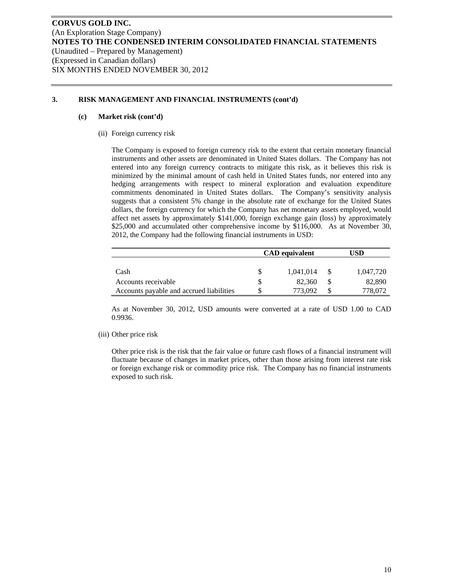## **3. RISK MANAGEMENT AND FINANCIAL INSTRUMENTS (cont'd)**

#### **(c) Market risk (cont'd)**

(ii) Foreign currency risk

The Company is exposed to foreign currency risk to the extent that certain monetary financial instruments and other assets are denominated in United States dollars. The Company has not entered into any foreign currency contracts to mitigate this risk, as it believes this risk is minimized by the minimal amount of cash held in United States funds, nor entered into any hedging arrangements with respect to mineral exploration and evaluation expenditure commitments denominated in United States dollars. The Company's sensitivity analysis suggests that a consistent 5% change in the absolute rate of exchange for the United States dollars, the foreign currency for which the Company has net monetary assets employed, would affect net assets by approximately \$141,000, foreign exchange gain (loss) by approximately \$25,000 and accumulated other comprehensive income by \$116,000. As at November 30, 2012, the Company had the following financial instruments in USD:

|                                          |   | <b>CAD</b> equivalent | <b>JSD</b> |  |  |  |
|------------------------------------------|---|-----------------------|------------|--|--|--|
|                                          |   |                       |            |  |  |  |
| Cash                                     |   | 1,041,014             | 1,047,720  |  |  |  |
| Accounts receivable                      | S | 82,360                | 82,890     |  |  |  |
| Accounts payable and accrued liabilities |   | 773.092               | 778,072    |  |  |  |

As at November 30, 2012, USD amounts were converted at a rate of USD 1.00 to CAD 0.9936.

(iii) Other price risk

Other price risk is the risk that the fair value or future cash flows of a financial instrument will fluctuate because of changes in market prices, other than those arising from interest rate risk or foreign exchange risk or commodity price risk. The Company has no financial instruments exposed to such risk.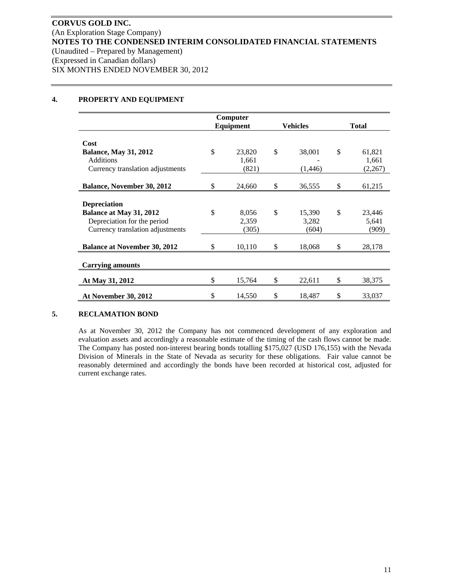#### **4. PROPERTY AND EQUIPMENT**

|                                     |           | Computer |                 |    |              |
|-------------------------------------|-----------|----------|-----------------|----|--------------|
|                                     | Equipment |          | <b>Vehicles</b> |    | <b>Total</b> |
|                                     |           |          |                 |    |              |
| Cost                                |           |          |                 |    |              |
| <b>Balance, May 31, 2012</b>        | \$        | 23,820   | \$<br>38,001    | \$ | 61,821       |
| <b>Additions</b>                    |           | 1,661    |                 |    | 1,661        |
| Currency translation adjustments    |           | (821)    | (1,446)         |    | (2,267)      |
|                                     |           |          |                 |    |              |
| <b>Balance, November 30, 2012</b>   | \$        | 24,660   | \$<br>36,555    | \$ | 61,215       |
|                                     |           |          |                 |    |              |
| <b>Depreciation</b>                 |           |          |                 |    |              |
| Balance at May 31, 2012             | \$        | 8,056    | \$<br>15,390    | \$ | 23,446       |
| Depreciation for the period         |           | 2,359    | 3,282           |    | 5,641        |
| Currency translation adjustments    |           | (305)    | (604)           |    | (909)        |
|                                     |           |          |                 |    |              |
| <b>Balance at November 30, 2012</b> | \$        | 10,110   | \$<br>18,068    | \$ | 28,178       |
|                                     |           |          |                 |    |              |
| <b>Carrying amounts</b>             |           |          |                 |    |              |
|                                     |           |          |                 |    |              |
| At May 31, 2012                     | \$        | 15,764   | \$<br>22,611    | \$ | 38,375       |
| At November 30, 2012                | \$        | 14,550   | \$<br>18,487    | \$ | 33,037       |

# **5. RECLAMATION BOND**

As at November 30, 2012 the Company has not commenced development of any exploration and evaluation assets and accordingly a reasonable estimate of the timing of the cash flows cannot be made. The Company has posted non-interest bearing bonds totalling \$175,027 (USD 176,155) with the Nevada Division of Minerals in the State of Nevada as security for these obligations. Fair value cannot be reasonably determined and accordingly the bonds have been recorded at historical cost, adjusted for current exchange rates.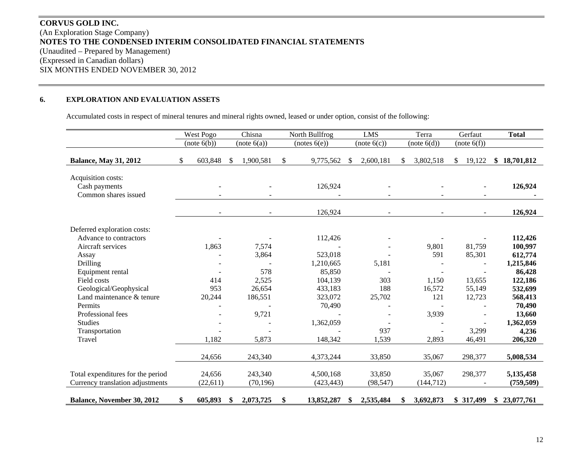# **CORVUS GOLD INC.** (An Exploration Stage Company) **NOTES TO THE CONDENSED INTERIM CONSOLIDATED FINANCIAL STATEMENTS**  (Unaudited – Prepared by Management) (Expressed in Canadian dollars) SIX MONTHS ENDED NOVEMBER 30, 2012

#### **6.EXPLORATION AND EVALUATION ASSETS**

Accumulated costs in respect of mineral tenures and mineral rights owned, leased or under option, consist of the following:

|                                                             |    | West Pogo    |    | Chisna      | North Bullfrog   | <b>LMS</b><br>Terra |             |                 | Gerfaut      | <b>Total</b> |              |
|-------------------------------------------------------------|----|--------------|----|-------------|------------------|---------------------|-------------|-----------------|--------------|--------------|--------------|
|                                                             |    | (note (6(b)) |    | (note 6(a)) | (notes 6(e))     |                     | (note 6(c)) | (note 6(d))     |              | (note 6(f))  |              |
| <b>Balance, May 31, 2012</b>                                | S. | 603,848      | -S | 1,900,581   | \$<br>9,775,562  | -S                  | 2,600,181   | 3,802,518       | $\mathbb{S}$ | 19,122       | \$18,701,812 |
| Acquisition costs:<br>Cash payments<br>Common shares issued |    |              |    |             | 126,924          |                     |             |                 |              |              | 126,924      |
|                                                             |    |              |    |             | 126,924          |                     |             |                 |              |              | 126,924      |
| Deferred exploration costs:                                 |    |              |    |             |                  |                     |             |                 |              |              |              |
| Advance to contractors                                      |    |              |    |             | 112,426          |                     |             |                 |              |              | 112,426      |
| Aircraft services                                           |    | 1,863        |    | 7,574       |                  |                     |             | 9,801           |              | 81,759       | 100,997      |
| Assay                                                       |    |              |    | 3,864       | 523,018          |                     |             | 591             |              | 85,301       | 612,774      |
| Drilling                                                    |    |              |    |             | 1,210,665        |                     | 5,181       |                 |              |              | 1,215,846    |
| Equipment rental                                            |    |              |    | 578         | 85,850           |                     |             |                 |              |              | 86,428       |
| Field costs                                                 |    | 414          |    | 2,525       | 104,139          |                     | 303         | 1,150           |              | 13,655       | 122,186      |
| Geological/Geophysical                                      |    | 953          |    | 26,654      | 433,183          |                     | 188         | 16,572          |              | 55,149       | 532,699      |
| Land maintenance & tenure                                   |    | 20,244       |    | 186,551     | 323,072          |                     | 25,702      | 121             |              | 12,723       | 568,413      |
| Permits                                                     |    |              |    |             | 70,490           |                     |             |                 |              |              | 70,490       |
| Professional fees                                           |    |              |    | 9,721       |                  |                     |             | 3,939           |              |              | 13,660       |
| <b>Studies</b>                                              |    |              |    |             | 1,362,059        |                     |             |                 |              |              | 1,362,059    |
| Transportation                                              |    |              |    |             |                  |                     | 937         |                 |              | 3,299        | 4,236        |
| Travel                                                      |    | 1,182        |    | 5,873       | 148,342          |                     | 1,539       | 2,893           |              | 46,491       | 206,320      |
|                                                             |    | 24,656       |    | 243,340     | 4,373,244        |                     | 33,850      | 35,067          |              | 298,377      | 5,008,534    |
| Total expenditures for the period                           |    | 24,656       |    | 243,340     | 4,500,168        |                     | 33,850      | 35,067          |              | 298,377      | 5,135,458    |
| Currency translation adjustments                            |    | (22, 611)    |    | (70, 196)   | (423, 443)       |                     | (98, 547)   | (144, 712)      |              |              | (759, 509)   |
| Balance, November 30, 2012                                  | \$ | 605,893      | -S | 2,073,725   | \$<br>13,852,287 | \$                  | 2,535,484   | \$<br>3,692,873 |              | \$ 317,499   | \$23,077,761 |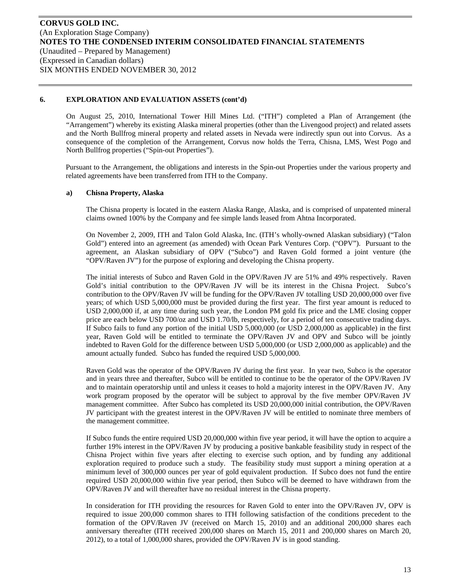On August 25, 2010, International Tower Hill Mines Ltd. ("ITH") completed a Plan of Arrangement (the "Arrangement") whereby its existing Alaska mineral properties (other than the Livengood project) and related assets and the North Bullfrog mineral property and related assets in Nevada were indirectly spun out into Corvus. As a consequence of the completion of the Arrangement, Corvus now holds the Terra, Chisna, LMS, West Pogo and North Bullfrog properties ("Spin-out Properties").

Pursuant to the Arrangement, the obligations and interests in the Spin-out Properties under the various property and related agreements have been transferred from ITH to the Company.

#### **a) Chisna Property, Alaska**

The Chisna property is located in the eastern Alaska Range, Alaska, and is comprised of unpatented mineral claims owned 100% by the Company and fee simple lands leased from Ahtna Incorporated.

On November 2, 2009, ITH and Talon Gold Alaska, Inc. (ITH's wholly-owned Alaskan subsidiary) ("Talon Gold") entered into an agreement (as amended) with Ocean Park Ventures Corp. ("OPV"). Pursuant to the agreement, an Alaskan subsidiary of OPV ("Subco") and Raven Gold formed a joint venture (the "OPV/Raven JV") for the purpose of exploring and developing the Chisna property.

The initial interests of Subco and Raven Gold in the OPV/Raven JV are 51% and 49% respectively. Raven Gold's initial contribution to the OPV/Raven JV will be its interest in the Chisna Project. Subco's contribution to the OPV/Raven JV will be funding for the OPV/Raven JV totalling USD 20,000,000 over five years; of which USD 5,000,000 must be provided during the first year. The first year amount is reduced to USD 2,000,000 if, at any time during such year, the London PM gold fix price and the LME closing copper price are each below USD 700/oz and USD 1.70/lb, respectively, for a period of ten consecutive trading days. If Subco fails to fund any portion of the initial USD 5,000,000 (or USD 2,000,000 as applicable) in the first year, Raven Gold will be entitled to terminate the OPV/Raven JV and OPV and Subco will be jointly indebted to Raven Gold for the difference between USD 5,000,000 (or USD 2,000,000 as applicable) and the amount actually funded. Subco has funded the required USD 5,000,000.

Raven Gold was the operator of the OPV/Raven JV during the first year. In year two, Subco is the operator and in years three and thereafter, Subco will be entitled to continue to be the operator of the OPV/Raven JV and to maintain operatorship until and unless it ceases to hold a majority interest in the OPV/Raven JV. Any work program proposed by the operator will be subject to approval by the five member OPV/Raven JV management committee. After Subco has completed its USD 20,000,000 initial contribution, the OPV/Raven JV participant with the greatest interest in the OPV/Raven JV will be entitled to nominate three members of the management committee.

If Subco funds the entire required USD 20,000,000 within five year period, it will have the option to acquire a further 19% interest in the OPV/Raven JV by producing a positive bankable feasibility study in respect of the Chisna Project within five years after electing to exercise such option, and by funding any additional exploration required to produce such a study. The feasibility study must support a mining operation at a minimum level of 300,000 ounces per year of gold equivalent production. If Subco does not fund the entire required USD 20,000,000 within five year period, then Subco will be deemed to have withdrawn from the OPV/Raven JV and will thereafter have no residual interest in the Chisna property.

In consideration for ITH providing the resources for Raven Gold to enter into the OPV/Raven JV, OPV is required to issue 200,000 common shares to ITH following satisfaction of the conditions precedent to the formation of the OPV/Raven JV (received on March 15, 2010) and an additional 200,000 shares each anniversary thereafter (ITH received 200,000 shares on March 15, 2011 and 200,000 shares on March 20, 2012), to a total of 1,000,000 shares, provided the OPV/Raven JV is in good standing.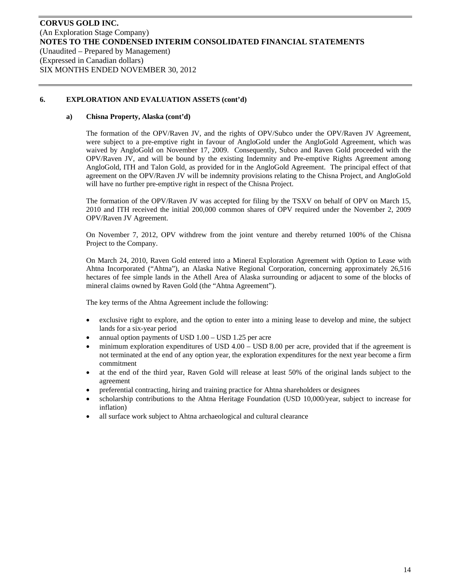## **a) Chisna Property, Alaska (cont'd)**

The formation of the OPV/Raven JV, and the rights of OPV/Subco under the OPV/Raven JV Agreement, were subject to a pre-emptive right in favour of AngloGold under the AngloGold Agreement, which was waived by AngloGold on November 17, 2009. Consequently, Subco and Raven Gold proceeded with the OPV/Raven JV, and will be bound by the existing Indemnity and Pre-emptive Rights Agreement among AngloGold, ITH and Talon Gold, as provided for in the AngloGold Agreement. The principal effect of that agreement on the OPV/Raven JV will be indemnity provisions relating to the Chisna Project, and AngloGold will have no further pre-emptive right in respect of the Chisna Project.

The formation of the OPV/Raven JV was accepted for filing by the TSXV on behalf of OPV on March 15, 2010 and ITH received the initial 200,000 common shares of OPV required under the November 2, 2009 OPV/Raven JV Agreement.

On November 7, 2012, OPV withdrew from the joint venture and thereby returned 100% of the Chisna Project to the Company.

On March 24, 2010, Raven Gold entered into a Mineral Exploration Agreement with Option to Lease with Ahtna Incorporated ("Ahtna"), an Alaska Native Regional Corporation, concerning approximately 26,516 hectares of fee simple lands in the Athell Area of Alaska surrounding or adjacent to some of the blocks of mineral claims owned by Raven Gold (the "Ahtna Agreement").

The key terms of the Ahtna Agreement include the following:

- exclusive right to explore, and the option to enter into a mining lease to develop and mine, the subject lands for a six-year period
- annual option payments of USD 1.00 USD 1.25 per acre
- minimum exploration expenditures of USD 4.00 USD 8.00 per acre, provided that if the agreement is not terminated at the end of any option year, the exploration expenditures for the next year become a firm commitment
- at the end of the third year, Raven Gold will release at least 50% of the original lands subject to the agreement
- preferential contracting, hiring and training practice for Ahtna shareholders or designees
- scholarship contributions to the Ahtna Heritage Foundation (USD 10,000/year, subject to increase for inflation)
- all surface work subject to Ahtna archaeological and cultural clearance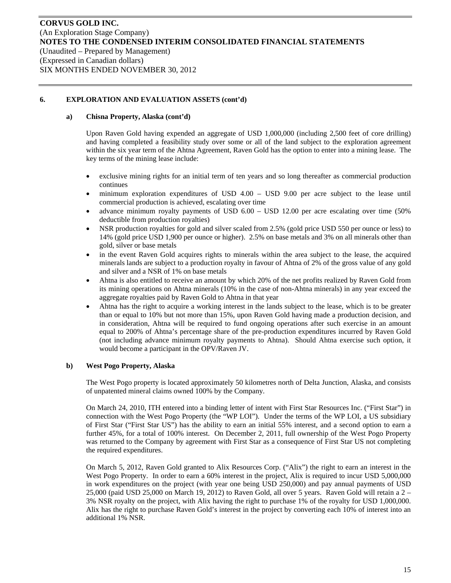#### **a) Chisna Property, Alaska (cont'd)**

Upon Raven Gold having expended an aggregate of USD 1,000,000 (including 2,500 feet of core drilling) and having completed a feasibility study over some or all of the land subject to the exploration agreement within the six year term of the Ahtna Agreement, Raven Gold has the option to enter into a mining lease. The key terms of the mining lease include:

- exclusive mining rights for an initial term of ten years and so long thereafter as commercial production continues
- minimum exploration expenditures of USD 4.00 USD 9.00 per acre subject to the lease until commercial production is achieved, escalating over time
- advance minimum royalty payments of USD 6.00 USD 12.00 per acre escalating over time (50% deductible from production royalties)
- NSR production royalties for gold and silver scaled from 2.5% (gold price USD 550 per ounce or less) to 14% (gold price USD 1,900 per ounce or higher). 2.5% on base metals and 3% on all minerals other than gold, silver or base metals
- in the event Raven Gold acquires rights to minerals within the area subject to the lease, the acquired minerals lands are subject to a production royalty in favour of Ahtna of 2% of the gross value of any gold and silver and a NSR of 1% on base metals
- Ahtna is also entitled to receive an amount by which 20% of the net profits realized by Raven Gold from its mining operations on Ahtna minerals (10% in the case of non-Ahtna minerals) in any year exceed the aggregate royalties paid by Raven Gold to Ahtna in that year
- Ahtna has the right to acquire a working interest in the lands subject to the lease, which is to be greater than or equal to 10% but not more than 15%, upon Raven Gold having made a production decision, and in consideration, Ahtna will be required to fund ongoing operations after such exercise in an amount equal to 200% of Ahtna's percentage share of the pre-production expenditures incurred by Raven Gold (not including advance minimum royalty payments to Ahtna). Should Ahtna exercise such option, it would become a participant in the OPV/Raven JV.

#### **b) West Pogo Property, Alaska**

The West Pogo property is located approximately 50 kilometres north of Delta Junction, Alaska, and consists of unpatented mineral claims owned 100% by the Company.

On March 24, 2010, ITH entered into a binding letter of intent with First Star Resources Inc. ("First Star") in connection with the West Pogo Property (the "WP LOI"). Under the terms of the WP LOI, a US subsidiary of First Star ("First Star US") has the ability to earn an initial 55% interest, and a second option to earn a further 45%, for a total of 100% interest. On December 2, 2011, full ownership of the West Pogo Property was returned to the Company by agreement with First Star as a consequence of First Star US not completing the required expenditures.

On March 5, 2012, Raven Gold granted to Alix Resources Corp. ("Alix") the right to earn an interest in the West Pogo Property. In order to earn a 60% interest in the project, Alix is required to incur USD 5,000,000 in work expenditures on the project (with year one being USD 250,000) and pay annual payments of USD 25,000 (paid USD 25,000 on March 19, 2012) to Raven Gold, all over 5 years. Raven Gold will retain a 2 – 3% NSR royalty on the project, with Alix having the right to purchase 1% of the royalty for USD 1,000,000. Alix has the right to purchase Raven Gold's interest in the project by converting each 10% of interest into an additional 1% NSR.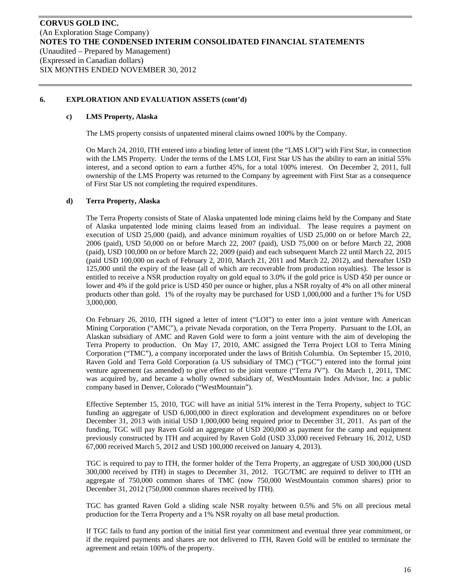#### **c) LMS Property, Alaska**

The LMS property consists of unpatented mineral claims owned 100% by the Company.

On March 24, 2010, ITH entered into a binding letter of intent (the "LMS LOI") with First Star, in connection with the LMS Property. Under the terms of the LMS LOI, First Star US has the ability to earn an initial 55% interest, and a second option to earn a further 45%, for a total 100% interest. On December 2, 2011, full ownership of the LMS Property was returned to the Company by agreement with First Star as a consequence of First Star US not completing the required expenditures.

## **d) Terra Property, Alaska**

The Terra Property consists of State of Alaska unpatented lode mining claims held by the Company and State of Alaska unpatented lode mining claims leased from an individual. The lease requires a payment on execution of USD 25,000 (paid), and advance minimum royalties of USD 25,000 on or before March 22, 2006 (paid), USD 50,000 on or before March 22, 2007 (paid), USD 75,000 on or before March 22, 2008 (paid), USD 100,000 on or before March 22, 2009 (paid) and each subsequent March 22 until March 22, 2015 (paid USD 100,000 on each of February 2, 2010, March 21, 2011 and March 22, 2012), and thereafter USD 125,000 until the expiry of the lease (all of which are recoverable from production royalties). The lessor is entitled to receive a NSR production royalty on gold equal to 3.0% if the gold price is USD 450 per ounce or lower and 4% if the gold price is USD 450 per ounce or higher, plus a NSR royalty of 4% on all other mineral products other than gold. 1% of the royalty may be purchased for USD 1,000,000 and a further 1% for USD 3,000,000.

On February 26, 2010, ITH signed a letter of intent ("LOI") to enter into a joint venture with American Mining Corporation ("AMC"), a private Nevada corporation, on the Terra Property. Pursuant to the LOI, an Alaskan subsidiary of AMC and Raven Gold were to form a joint venture with the aim of developing the Terra Property to production. On May 17, 2010, AMC assigned the Terra Project LOI to Terra Mining Corporation ("TMC"), a company incorporated under the laws of British Columbia. On September 15, 2010, Raven Gold and Terra Gold Corporation (a US subsidiary of TMC) ("TGC") entered into the formal joint venture agreement (as amended) to give effect to the joint venture ("Terra JV"). On March 1, 2011, TMC was acquired by, and became a wholly owned subsidiary of, WestMountain Index Advisor, Inc. a public company based in Denver, Colorado ("WestMountain").

Effective September 15, 2010, TGC will have an initial 51% interest in the Terra Property, subject to TGC funding an aggregate of USD 6,000,000 in direct exploration and development expenditures on or before December 31, 2013 with initial USD 1,000,000 being required prior to December 31, 2011. As part of the funding, TGC will pay Raven Gold an aggregate of USD 200,000 as payment for the camp and equipment previously constructed by ITH and acquired by Raven Gold (USD 33,000 received February 16, 2012, USD 67,000 received March 5, 2012 and USD 100,000 received on January 4, 2013).

TGC is required to pay to ITH, the former holder of the Terra Property, an aggregate of USD 300,000 (USD 300,000 received by ITH) in stages to December 31, 2012. TGC/TMC are required to deliver to ITH an aggregate of 750,000 common shares of TMC (now 750,000 WestMountain common shares) prior to December 31, 2012 (750,000 common shares received by ITH).

TGC has granted Raven Gold a sliding scale NSR royalty between 0.5% and 5% on all precious metal production for the Terra Property and a 1% NSR royalty on all base metal production.

If TGC fails to fund any portion of the initial first year commitment and eventual three year commitment, or if the required payments and shares are not delivered to ITH, Raven Gold will be entitled to terminate the agreement and retain 100% of the property.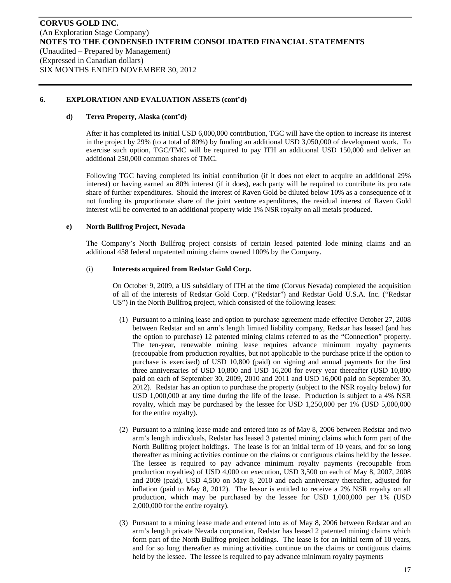#### **d) Terra Property, Alaska (cont'd)**

After it has completed its initial USD 6,000,000 contribution, TGC will have the option to increase its interest in the project by 29% (to a total of 80%) by funding an additional USD 3,050,000 of development work. To exercise such option, TGC/TMC will be required to pay ITH an additional USD 150,000 and deliver an additional 250,000 common shares of TMC.

Following TGC having completed its initial contribution (if it does not elect to acquire an additional 29% interest) or having earned an 80% interest (if it does), each party will be required to contribute its pro rata share of further expenditures. Should the interest of Raven Gold be diluted below 10% as a consequence of it not funding its proportionate share of the joint venture expenditures, the residual interest of Raven Gold interest will be converted to an additional property wide 1% NSR royalty on all metals produced.

#### **e) North Bullfrog Project, Nevada**

The Company's North Bullfrog project consists of certain leased patented lode mining claims and an additional 458 federal unpatented mining claims owned 100% by the Company.

#### (i) **Interests acquired from Redstar Gold Corp.**

On October 9, 2009, a US subsidiary of ITH at the time (Corvus Nevada) completed the acquisition of all of the interests of Redstar Gold Corp. ("Redstar") and Redstar Gold U.S.A. Inc. ("Redstar US") in the North Bullfrog project, which consisted of the following leases:

- (1) Pursuant to a mining lease and option to purchase agreement made effective October 27, 2008 between Redstar and an arm's length limited liability company, Redstar has leased (and has the option to purchase) 12 patented mining claims referred to as the "Connection" property. The ten-year, renewable mining lease requires advance minimum royalty payments (recoupable from production royalties, but not applicable to the purchase price if the option to purchase is exercised) of USD 10,800 (paid) on signing and annual payments for the first three anniversaries of USD 10,800 and USD 16,200 for every year thereafter (USD 10,800 paid on each of September 30, 2009, 2010 and 2011 and USD 16,000 paid on September 30, 2012). Redstar has an option to purchase the property (subject to the NSR royalty below) for USD 1,000,000 at any time during the life of the lease. Production is subject to a 4% NSR royalty, which may be purchased by the lessee for USD 1,250,000 per 1% (USD 5,000,000 for the entire royalty).
- (2) Pursuant to a mining lease made and entered into as of May 8, 2006 between Redstar and two arm's length individuals, Redstar has leased 3 patented mining claims which form part of the North Bullfrog project holdings. The lease is for an initial term of 10 years, and for so long thereafter as mining activities continue on the claims or contiguous claims held by the lessee. The lessee is required to pay advance minimum royalty payments (recoupable from production royalties) of USD 4,000 on execution, USD 3,500 on each of May 8, 2007, 2008 and 2009 (paid), USD 4,500 on May 8, 2010 and each anniversary thereafter, adjusted for inflation (paid to May 8, 2012). The lessor is entitled to receive a 2% NSR royalty on all production, which may be purchased by the lessee for USD 1,000,000 per 1% (USD 2,000,000 for the entire royalty).
- (3) Pursuant to a mining lease made and entered into as of May 8, 2006 between Redstar and an arm's length private Nevada corporation, Redstar has leased 2 patented mining claims which form part of the North Bullfrog project holdings. The lease is for an initial term of 10 years, and for so long thereafter as mining activities continue on the claims or contiguous claims held by the lessee. The lessee is required to pay advance minimum royalty payments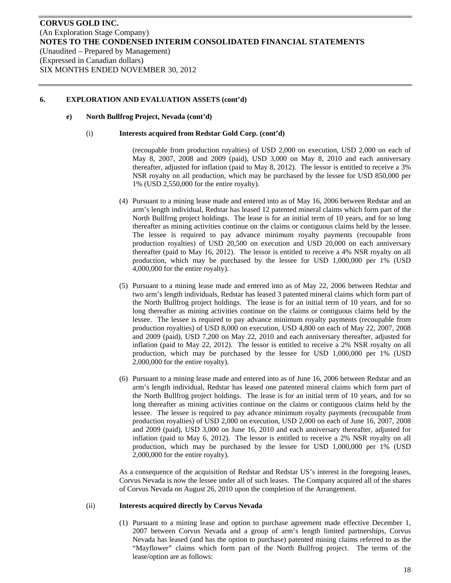#### **e) North Bullfrog Project, Nevada (cont'd)**

#### (i) **Interests acquired from Redstar Gold Corp. (cont'd)**

(recoupable from production royalties) of USD 2,000 on execution, USD 2,000 on each of May 8, 2007, 2008 and 2009 (paid), USD 3,000 on May 8, 2010 and each anniversary thereafter, adjusted for inflation (paid to May 8, 2012). The lessor is entitled to receive a 3% NSR royalty on all production, which may be purchased by the lessee for USD 850,000 per 1% (USD 2,550,000 for the entire royalty).

- (4) Pursuant to a mining lease made and entered into as of May 16, 2006 between Redstar and an arm's length individual, Redstar has leased 12 patented mineral claims which form part of the North Bullfrog project holdings. The lease is for an initial term of 10 years, and for so long thereafter as mining activities continue on the claims or contiguous claims held by the lessee. The lessee is required to pay advance minimum royalty payments (recoupable from production royalties) of USD 20,500 on execution and USD 20,000 on each anniversary thereafter (paid to May 16, 2012). The lessor is entitled to receive a 4% NSR royalty on all production, which may be purchased by the lessee for USD 1,000,000 per 1% (USD 4,000,000 for the entire royalty).
- (5) Pursuant to a mining lease made and entered into as of May 22, 2006 between Redstar and two arm's length individuals, Redstar has leased 3 patented mineral claims which form part of the North Bullfrog project holdings. The lease is for an initial term of 10 years, and for so long thereafter as mining activities continue on the claims or contiguous claims held by the lessee. The lessee is required to pay advance minimum royalty payments (recoupable from production royalties) of USD 8,000 on execution, USD 4,800 on each of May 22, 2007, 2008 and 2009 (paid), USD 7,200 on May 22, 2010 and each anniversary thereafter, adjusted for inflation (paid to May 22, 2012). The lessor is entitled to receive a 2% NSR royalty on all production, which may be purchased by the lessee for USD 1,000,000 per 1% (USD 2,000,000 for the entire royalty).
- (6) Pursuant to a mining lease made and entered into as of June 16, 2006 between Redstar and an arm's length individual, Redstar has leased one patented mineral claims which form part of the North Bullfrog project holdings. The lease is for an initial term of 10 years, and for so long thereafter as mining activities continue on the claims or contiguous claims held by the lessee. The lessee is required to pay advance minimum royalty payments (recoupable from production royalties) of USD 2,000 on execution, USD 2,000 on each of June 16, 2007, 2008 and 2009 (paid), USD 3,000 on June 16, 2010 and each anniversary thereafter, adjusted for inflation (paid to May 6, 2012). The lessor is entitled to receive a 2% NSR royalty on all production, which may be purchased by the lessee for USD 1,000,000 per 1% (USD 2,000,000 for the entire royalty).

As a consequence of the acquisition of Redstar and Redstar US's interest in the foregoing leases, Corvus Nevada is now the lessee under all of such leases. The Company acquired all of the shares of Corvus Nevada on August 26, 2010 upon the completion of the Arrangement.

#### (ii) **Interests acquired directly by Corvus Nevada**

(1) Pursuant to a mining lease and option to purchase agreement made effective December 1, 2007 between Corvus Nevada and a group of arm's length limited partnerships, Corvus Nevada has leased (and has the option to purchase) patented mining claims referred to as the "Mayflower" claims which form part of the North Bullfrog project. The terms of the lease/option are as follows: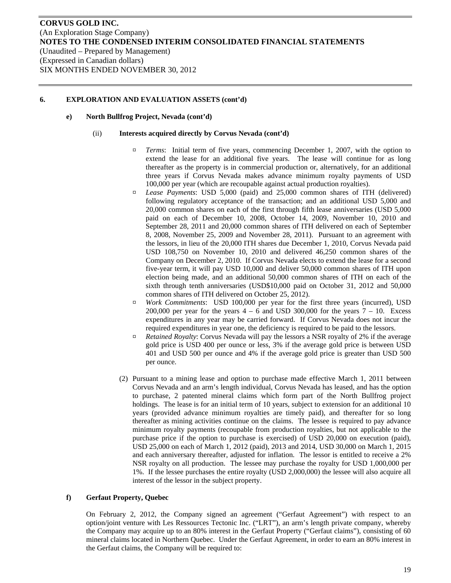#### **e) North Bullfrog Project, Nevada (cont'd)**

#### (ii) **Interests acquired directly by Corvus Nevada (cont'd)**

- ¤ *Terms*: Initial term of five years, commencing December 1, 2007, with the option to extend the lease for an additional five years. The lease will continue for as long thereafter as the property is in commercial production or, alternatively, for an additional three years if Corvus Nevada makes advance minimum royalty payments of USD 100,000 per year (which are recoupable against actual production royalties).
- ¤ *Lease Payments*: USD 5,000 (paid) and 25,000 common shares of ITH (delivered) following regulatory acceptance of the transaction; and an additional USD 5,000 and 20,000 common shares on each of the first through fifth lease anniversaries (USD 5,000 paid on each of December 10, 2008, October 14, 2009, November 10, 2010 and September 28, 2011 and 20,000 common shares of ITH delivered on each of September 8, 2008, November 25, 2009 and November 28, 2011). Pursuant to an agreement with the lessors, in lieu of the 20,000 ITH shares due December 1, 2010, Corvus Nevada paid USD 108,750 on November 10, 2010 and delivered 46,250 common shares of the Company on December 2, 2010. If Corvus Nevada elects to extend the lease for a second five-year term, it will pay USD 10,000 and deliver 50,000 common shares of ITH upon election being made, and an additional 50,000 common shares of ITH on each of the sixth through tenth anniversaries (USD\$10,000 paid on October 31, 2012 and 50,000 common shares of ITH delivered on October 25, 2012).
- ¤ *Work Commitments*: USD 100,000 per year for the first three years (incurred), USD 200,000 per year for the years  $4 - 6$  and USD 300,000 for the years  $7 - 10$ . Excess expenditures in any year may be carried forward. If Corvus Nevada does not incur the required expenditures in year one, the deficiency is required to be paid to the lessors.
- ¤ *Retained Royalty*: Corvus Nevada will pay the lessors a NSR royalty of 2% if the average gold price is USD 400 per ounce or less, 3% if the average gold price is between USD 401 and USD 500 per ounce and 4% if the average gold price is greater than USD 500 per ounce.
- (2) Pursuant to a mining lease and option to purchase made effective March 1, 2011 between Corvus Nevada and an arm's length individual, Corvus Nevada has leased, and has the option to purchase, 2 patented mineral claims which form part of the North Bullfrog project holdings. The lease is for an initial term of 10 years, subject to extension for an additional 10 years (provided advance minimum royalties are timely paid), and thereafter for so long thereafter as mining activities continue on the claims. The lessee is required to pay advance minimum royalty payments (recoupable from production royalties, but not applicable to the purchase price if the option to purchase is exercised) of USD 20,000 on execution (paid), USD 25,000 on each of March 1, 2012 (paid), 2013 and 2014, USD 30,000 on March 1, 2015 and each anniversary thereafter, adjusted for inflation. The lessor is entitled to receive a 2% NSR royalty on all production. The lessee may purchase the royalty for USD 1,000,000 per 1%. If the lessee purchases the entire royalty (USD 2,000,000) the lessee will also acquire all interest of the lessor in the subject property.

#### **f) Gerfaut Property, Quebec**

On February 2, 2012, the Company signed an agreement ("Gerfaut Agreement") with respect to an option/joint venture with Les Ressources Tectonic Inc. ("LRT"), an arm's length private company, whereby the Company may acquire up to an 80% interest in the Gerfaut Property ("Gerfaut claims"), consisting of 60 mineral claims located in Northern Quebec. Under the Gerfaut Agreement, in order to earn an 80% interest in the Gerfaut claims, the Company will be required to: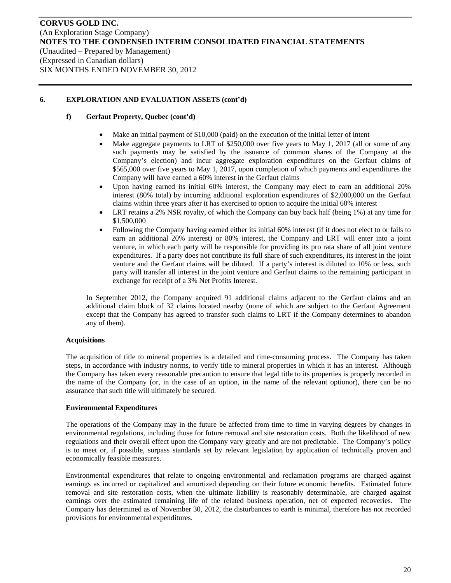## **f) Gerfaut Property, Quebec (cont'd)**

- Make an initial payment of \$10,000 (paid) on the execution of the initial letter of intent
- Make aggregate payments to LRT of \$250,000 over five years to May 1, 2017 (all or some of any such payments may be satisfied by the issuance of common shares of the Company at the Company's election) and incur aggregate exploration expenditures on the Gerfaut claims of \$565,000 over five years to May 1, 2017, upon completion of which payments and expenditures the Company will have earned a 60% interest in the Gerfaut claims
- Upon having earned its initial 60% interest, the Company may elect to earn an additional 20% interest (80% total) by incurring additional exploration expenditures of \$2,000,000 on the Gerfaut claims within three years after it has exercised to option to acquire the initial 60% interest
- LRT retains a 2% NSR royalty, of which the Company can buy back half (being 1%) at any time for \$1,500,000
- Following the Company having earned either its initial 60% interest (if it does not elect to or fails to earn an additional 20% interest) or 80% interest, the Company and LRT will enter into a joint venture, in which each party will be responsible for providing its pro rata share of all joint venture expenditures. If a party does not contribute its full share of such expenditures, its interest in the joint venture and the Gerfaut claims will be diluted. If a party's interest is diluted to 10% or less, such party will transfer all interest in the joint venture and Gerfaut claims to the remaining participant in exchange for receipt of a 3% Net Profits Interest.

In September 2012, the Company acquired 91 additional claims adjacent to the Gerfaut claims and an additional claim block of 32 claims located nearby (none of which are subject to the Gerfaut Agreement except that the Company has agreed to transfer such claims to LRT if the Company determines to abandon any of them).

## **Acquisitions**

The acquisition of title to mineral properties is a detailed and time-consuming process. The Company has taken steps, in accordance with industry norms, to verify title to mineral properties in which it has an interest. Although the Company has taken every reasonable precaution to ensure that legal title to its properties is properly recorded in the name of the Company (or, in the case of an option, in the name of the relevant optionor), there can be no assurance that such title will ultimately be secured.

## **Environmental Expenditures**

The operations of the Company may in the future be affected from time to time in varying degrees by changes in environmental regulations, including those for future removal and site restoration costs. Both the likelihood of new regulations and their overall effect upon the Company vary greatly and are not predictable. The Company's policy is to meet or, if possible, surpass standards set by relevant legislation by application of technically proven and economically feasible measures.

Environmental expenditures that relate to ongoing environmental and reclamation programs are charged against earnings as incurred or capitalized and amortized depending on their future economic benefits. Estimated future removal and site restoration costs, when the ultimate liability is reasonably determinable, are charged against earnings over the estimated remaining life of the related business operation, net of expected recoveries. The Company has determined as of November 30, 2012, the disturbances to earth is minimal, therefore has not recorded provisions for environmental expenditures.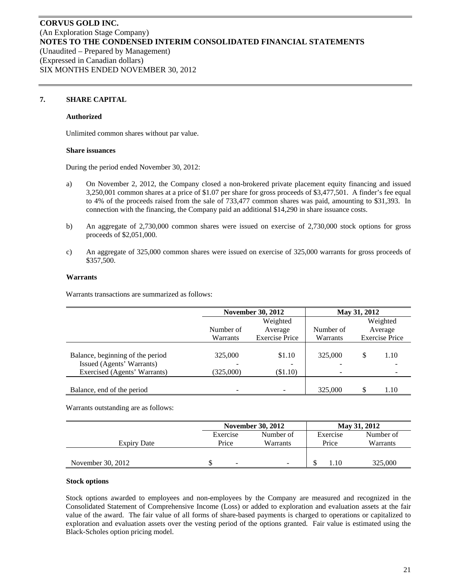## **7. SHARE CAPITAL**

#### **Authorized**

Unlimited common shares without par value.

#### **Share issuances**

During the period ended November 30, 2012:

- a) On November 2, 2012, the Company closed a non-brokered private placement equity financing and issued 3,250,001 common shares at a price of \$1.07 per share for gross proceeds of \$3,477,501. A finder's fee equal to 4% of the proceeds raised from the sale of 733,477 common shares was paid, amounting to \$31,393. In connection with the financing, the Company paid an additional \$14,290 in share issuance costs.
- b) An aggregate of 2,730,000 common shares were issued on exercise of 2,730,000 stock options for gross proceeds of \$2,051,000.
- c) An aggregate of 325,000 common shares were issued on exercise of 325,000 warrants for gross proceeds of \$357,500.

#### **Warrants**

Warrants transactions are summarized as follows:

|                                                               | <b>November 30, 2012</b> |                       | May 31, 2012                        |    |                       |
|---------------------------------------------------------------|--------------------------|-----------------------|-------------------------------------|----|-----------------------|
|                                                               |                          | Weighted              |                                     |    | Weighted              |
|                                                               | Number of                | Average               | Number of                           |    | Average               |
|                                                               | Warrants                 | <b>Exercise Price</b> | Warrants                            |    | <b>Exercise Price</b> |
| Balance, beginning of the period<br>Issued (Agents' Warrants) | 325,000                  | \$1.10                | 325,000<br>$\overline{\phantom{0}}$ | \$ | 1.10                  |
| Exercised (Agents' Warrants)                                  | (325,000)                | $\$1.10)$             | $\qquad \qquad \blacksquare$        |    |                       |
| Balance, end of the period                                    |                          |                       | 325,000                             |    | 1.10                  |

Warrants outstanding are as follows:

|                   |          | <b>November 30, 2012</b> |          | May 31, 2012 |
|-------------------|----------|--------------------------|----------|--------------|
|                   | Exercise | Number of                | Exercise | Number of    |
| Expiry Date       | Price    | Warrants                 | Price    | Warrants     |
|                   |          |                          |          |              |
| November 30, 2012 | ۰        |                          | 1.10     | 325,000      |

#### **Stock options**

Stock options awarded to employees and non-employees by the Company are measured and recognized in the Consolidated Statement of Comprehensive Income (Loss) or added to exploration and evaluation assets at the fair value of the award. The fair value of all forms of share-based payments is charged to operations or capitalized to exploration and evaluation assets over the vesting period of the options granted. Fair value is estimated using the Black-Scholes option pricing model.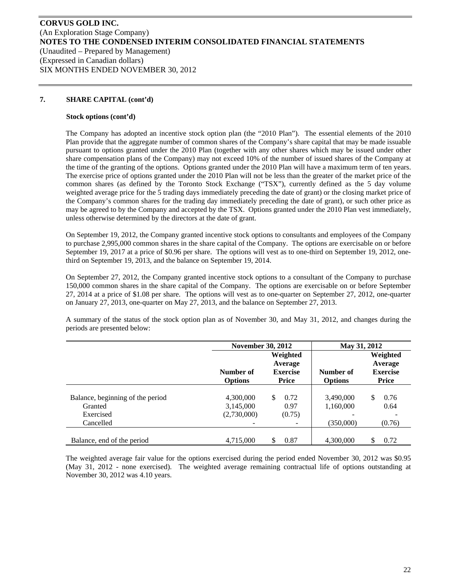## **7. SHARE CAPITAL (cont'd)**

#### **Stock options (cont'd)**

The Company has adopted an incentive stock option plan (the "2010 Plan"). The essential elements of the 2010 Plan provide that the aggregate number of common shares of the Company's share capital that may be made issuable pursuant to options granted under the 2010 Plan (together with any other shares which may be issued under other share compensation plans of the Company) may not exceed 10% of the number of issued shares of the Company at the time of the granting of the options. Options granted under the 2010 Plan will have a maximum term of ten years. The exercise price of options granted under the 2010 Plan will not be less than the greater of the market price of the common shares (as defined by the Toronto Stock Exchange ("TSX"), currently defined as the 5 day volume weighted average price for the 5 trading days immediately preceding the date of grant) or the closing market price of the Company's common shares for the trading day immediately preceding the date of grant), or such other price as may be agreed to by the Company and accepted by the TSX. Options granted under the 2010 Plan vest immediately, unless otherwise determined by the directors at the date of grant.

On September 19, 2012, the Company granted incentive stock options to consultants and employees of the Company to purchase 2,995,000 common shares in the share capital of the Company. The options are exercisable on or before September 19, 2017 at a price of \$0.96 per share. The options will vest as to one-third on September 19, 2012, onethird on September 19, 2013, and the balance on September 19, 2014.

On September 27, 2012, the Company granted incentive stock options to a consultant of the Company to purchase 150,000 common shares in the share capital of the Company. The options are exercisable on or before September 27, 2014 at a price of \$1.08 per share. The options will vest as to one-quarter on September 27, 2012, one-quarter on January 27, 2013, one-quarter on May 27, 2013, and the balance on September 27, 2013.

A summary of the status of the stock option plan as of November 30, and May 31, 2012, and changes during the periods are presented below:

|                                  | <b>November 30, 2012</b> |                                        | May 31, 2012   |                                        |
|----------------------------------|--------------------------|----------------------------------------|----------------|----------------------------------------|
|                                  | Number of                | Weighted<br>Average<br><b>Exercise</b> | Number of      | Weighted<br>Average<br><b>Exercise</b> |
|                                  | <b>Options</b>           | <b>Price</b>                           | <b>Options</b> | <b>Price</b>                           |
| Balance, beginning of the period | 4,300,000                | \$.<br>0.72                            | 3,490,000      | \$<br>0.76                             |
| Granted                          | 3,145,000                | 0.97                                   | 1,160,000      | 0.64                                   |
| Exercised                        | (2,730,000)              | (0.75)                                 |                |                                        |
| Cancelled                        |                          |                                        | (350,000)      | (0.76)                                 |
| Balance, end of the period       | 4,715,000                | 0.87<br>S                              | 4,300,000      | 0.72<br>\$                             |

The weighted average fair value for the options exercised during the period ended November 30, 2012 was \$0.95 (May 31, 2012 - none exercised). The weighted average remaining contractual life of options outstanding at November 30, 2012 was 4.10 years.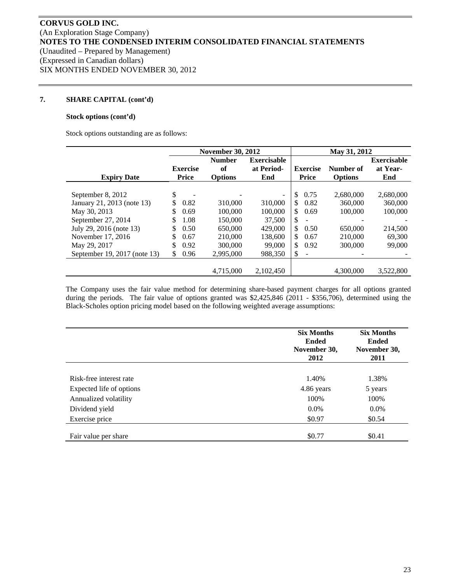## **7. SHARE CAPITAL (cont'd)**

#### **Stock options (cont'd)**

Stock options outstanding are as follows:

|                              |                 | <b>November 30, 2012</b> |                          |                                | May 31, 2012   |                    |
|------------------------------|-----------------|--------------------------|--------------------------|--------------------------------|----------------|--------------------|
|                              |                 | <b>Number</b>            | <b>Exercisable</b>       |                                |                | <b>Exercisable</b> |
|                              | <b>Exercise</b> | of                       | at Period-               | <b>Exercise</b>                | Number of      | at Year-           |
| <b>Expiry Date</b>           | Price           | <b>Options</b>           | End                      | <b>Price</b>                   | <b>Options</b> | End                |
|                              |                 |                          |                          |                                |                |                    |
| September 8, 2012            | \$              |                          | $\overline{\phantom{a}}$ | $\mathbb{S}$<br>0.75           | 2.680,000      | 2,680,000          |
| January 21, 2013 (note 13)   | \$<br>0.82      | 310,000                  | 310,000                  | \$.<br>0.82                    | 360,000        | 360,000            |
| May 30, 2013                 | \$<br>0.69      | 100,000                  | 100,000                  | \$<br>0.69                     | 100,000        | 100,000            |
| September 27, 2014           | \$<br>1.08      | 150,000                  | 37,500                   | \$                             |                |                    |
| July 29, 2016 (note 13)      | \$<br>0.50      | 650,000                  | 429,000                  | <sup>\$</sup><br>0.50          | 650,000        | 214,500            |
| November 17, 2016            | \$<br>0.67      | 210,000                  | 138,600                  | \$.<br>0.67                    | 210,000        | 69,300             |
| May 29, 2017                 | \$<br>0.92      | 300,000                  | 99,000                   | S.<br>0.92                     | 300,000        | 99,000             |
| September 19, 2017 (note 13) | 0.96<br>S.      | 2,995,000                | 988,350                  | \$<br>$\overline{\phantom{a}}$ |                |                    |
|                              |                 |                          |                          |                                |                |                    |
|                              |                 | 4.715,000                | 2.102.450                |                                | 4.300,000      | 3.522,800          |

The Company uses the fair value method for determining share-based payment charges for all options granted during the periods. The fair value of options granted was \$2,425,846 (2011 - \$356,706), determined using the Black-Scholes option pricing model based on the following weighted average assumptions:

|                          | <b>Six Months</b><br><b>Ended</b><br>November 30,<br>2012 | <b>Six Months</b><br><b>Ended</b><br>November 30,<br>2011 |
|--------------------------|-----------------------------------------------------------|-----------------------------------------------------------|
|                          |                                                           |                                                           |
| Risk-free interest rate  | 1.40%                                                     | 1.38%                                                     |
| Expected life of options | 4.86 years                                                | 5 years                                                   |
| Annualized volatility    | 100%                                                      | 100%                                                      |
| Dividend yield           | $0.0\%$                                                   | $0.0\%$                                                   |
| Exercise price           | \$0.97                                                    | \$0.54                                                    |
|                          |                                                           |                                                           |
| Fair value per share     | \$0.77                                                    | \$0.41                                                    |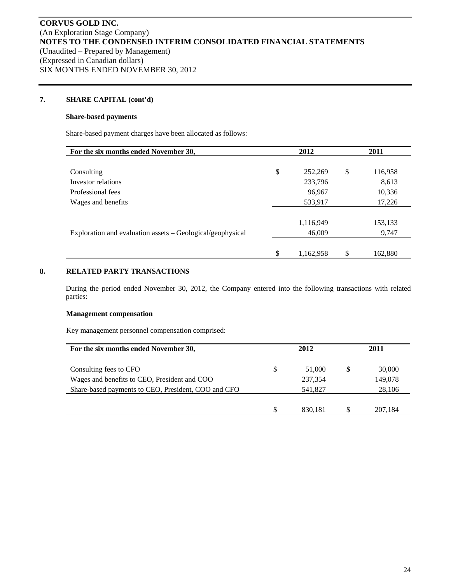## **7. SHARE CAPITAL (cont'd)**

#### **Share-based payments**

Share-based payment charges have been allocated as follows:

| For the six months ended November 30,                      | 2012            | 2011          |
|------------------------------------------------------------|-----------------|---------------|
|                                                            |                 |               |
| Consulting                                                 | \$<br>252,269   | \$<br>116,958 |
| Investor relations                                         | 233,796         | 8,613         |
| Professional fees                                          | 96,967          | 10,336        |
| Wages and benefits                                         | 533,917         | 17,226        |
|                                                            |                 |               |
|                                                            | 1,116,949       | 153,133       |
| Exploration and evaluation assets – Geological/geophysical | 46,009          | 9,747         |
|                                                            |                 |               |
|                                                            | \$<br>1,162,958 | \$<br>162,880 |

# **8. RELATED PARTY TRANSACTIONS**

During the period ended November 30, 2012, the Company entered into the following transactions with related parties:

#### **Management compensation**

Key management personnel compensation comprised:

| For the six months ended November 30,               | 2012          | 2011    |
|-----------------------------------------------------|---------------|---------|
|                                                     |               |         |
| Consulting fees to CFO                              | \$<br>51,000  | 30,000  |
| Wages and benefits to CEO, President and COO        | 237,354       | 149,078 |
| Share-based payments to CEO, President, COO and CFO | 541.827       | 28,106  |
|                                                     |               |         |
|                                                     | \$<br>830.181 | 207.184 |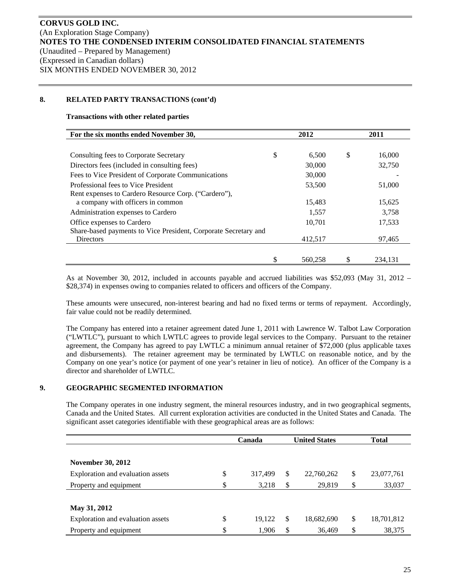## **8. RELATED PARTY TRANSACTIONS (cont'd)**

#### **Transactions with other related parties**

| For the six months ended November 30,                           |   | 2012    | 2011         |
|-----------------------------------------------------------------|---|---------|--------------|
|                                                                 |   |         |              |
| Consulting fees to Corporate Secretary                          | S | 6,500   | \$<br>16,000 |
| Directors fees (included in consulting fees)                    |   | 30,000  | 32,750       |
| Fees to Vice President of Corporate Communications              |   | 30,000  |              |
| Professional fees to Vice President                             |   | 53,500  | 51,000       |
| Rent expenses to Cardero Resource Corp. ("Cardero"),            |   |         |              |
| a company with officers in common                               |   | 15,483  | 15,625       |
| Administration expenses to Cardero                              |   | 1,557   | 3.758        |
| Office expenses to Cardero                                      |   | 10,701  | 17,533       |
| Share-based payments to Vice President, Corporate Secretary and |   |         |              |
| <b>Directors</b>                                                |   | 412.517 | 97,465       |
|                                                                 |   |         |              |
|                                                                 |   | 560.258 | 234.131      |

As at November 30, 2012, included in accounts payable and accrued liabilities was \$52,093 (May 31, 2012 – \$28,374) in expenses owing to companies related to officers and officers of the Company.

These amounts were unsecured, non-interest bearing and had no fixed terms or terms of repayment. Accordingly, fair value could not be readily determined.

The Company has entered into a retainer agreement dated June 1, 2011 with Lawrence W. Talbot Law Corporation ("LWTLC"), pursuant to which LWTLC agrees to provide legal services to the Company. Pursuant to the retainer agreement, the Company has agreed to pay LWTLC a minimum annual retainer of \$72,000 (plus applicable taxes and disbursements). The retainer agreement may be terminated by LWTLC on reasonable notice, and by the Company on one year's notice (or payment of one year's retainer in lieu of notice). An officer of the Company is a director and shareholder of LWTLC.

## **9. GEOGRAPHIC SEGMENTED INFORMATION**

The Company operates in one industry segment, the mineral resources industry, and in two geographical segments, Canada and the United States. All current exploration activities are conducted in the United States and Canada. The significant asset categories identifiable with these geographical areas are as follows:

|                                         | Canada  | <b>United States</b> | <b>Total</b>     |
|-----------------------------------------|---------|----------------------|------------------|
|                                         |         |                      |                  |
| <b>November 30, 2012</b>                |         |                      |                  |
| \$<br>Exploration and evaluation assets | 317,499 | \$<br>22,760,262     | \$<br>23,077,761 |
| \$<br>Property and equipment            | 3,218   | \$<br>29,819         | \$<br>33,037     |
|                                         |         |                      |                  |
| May 31, 2012                            |         |                      |                  |
| \$<br>Exploration and evaluation assets | 19,122  | \$<br>18,682,690     | \$<br>18,701,812 |
| Property and equipment                  | 1,906   | \$<br>36,469         | \$<br>38,375     |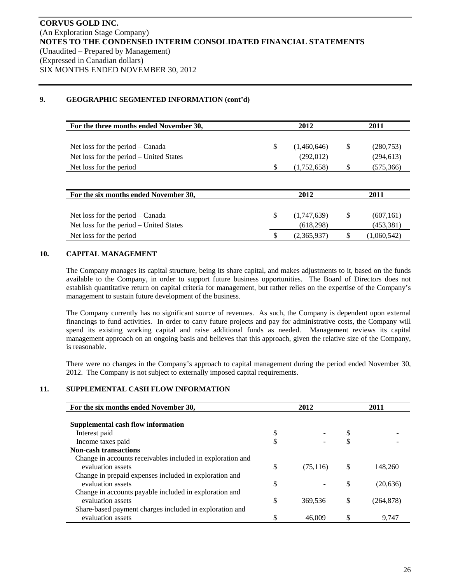# **9. GEOGRAPHIC SEGMENTED INFORMATION (cont'd)**

| (1,460,646) | (280,753)  |
|-------------|------------|
| (292,012)   | (294, 613) |
| (1,752,658) | (575,366)  |
|             |            |

| For the six months ended November 30,   | 2012 |             | 2011 |             |
|-----------------------------------------|------|-------------|------|-------------|
|                                         |      |             |      |             |
| Net loss for the period $-$ Canada      |      | (1,747,639) |      | (607, 161)  |
| Net loss for the period – United States |      | (618, 298)  |      | (453,381)   |
| Net loss for the period                 |      | (2,365,937) |      | (1,060,542) |

# **10. CAPITAL MANAGEMENT**

The Company manages its capital structure, being its share capital, and makes adjustments to it, based on the funds available to the Company, in order to support future business opportunities. The Board of Directors does not establish quantitative return on capital criteria for management, but rather relies on the expertise of the Company's management to sustain future development of the business.

The Company currently has no significant source of revenues. As such, the Company is dependent upon external financings to fund activities. In order to carry future projects and pay for administrative costs, the Company will spend its existing working capital and raise additional funds as needed. Management reviews its capital management approach on an ongoing basis and believes that this approach, given the relative size of the Company, is reasonable.

There were no changes in the Company's approach to capital management during the period ended November 30, 2012. The Company is not subject to externally imposed capital requirements.

# **11. SUPPLEMENTAL CASH FLOW INFORMATION**

| For the six months ended November 30,                      | 2012            |    | 2011       |
|------------------------------------------------------------|-----------------|----|------------|
|                                                            |                 |    |            |
| Supplemental cash flow information                         |                 |    |            |
| Interest paid                                              | \$              |    |            |
| Income taxes paid                                          | \$              |    |            |
| <b>Non-cash transactions</b>                               |                 |    |            |
| Change in accounts receivables included in exploration and |                 |    |            |
| evaluation assets                                          | \$<br>(75, 116) | S  | 148,260    |
| Change in prepaid expenses included in exploration and     |                 |    |            |
| evaluation assets                                          | \$              | \$ | (20, 636)  |
| Change in accounts payable included in exploration and     |                 |    |            |
| evaluation assets                                          | \$<br>369,536   | \$ | (264, 878) |
| Share-based payment charges included in exploration and    |                 |    |            |
| evaluation assets                                          | \$<br>46,009    |    | 9,747      |